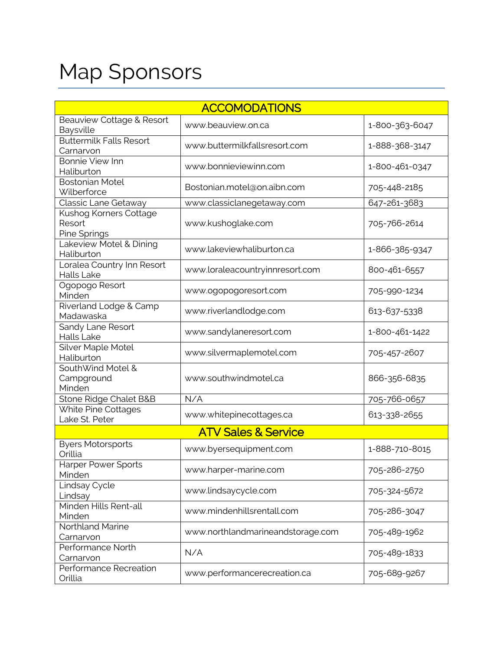## Map Sponsors

| <b>ACCOMODATIONS</b>                             |                                   |                |  |  |
|--------------------------------------------------|-----------------------------------|----------------|--|--|
| Beauview Cottage & Resort<br>Baysville           | www.beauview.on.ca                | 1-800-363-6047 |  |  |
| <b>Buttermilk Falls Resort</b><br>Carnarvon      | www.buttermilkfallsresort.com     | 1-888-368-3147 |  |  |
| <b>Bonnie View Inn</b><br>Haliburton             | www.bonnieviewinn.com             | 1-800-461-0347 |  |  |
| <b>Bostonian Motel</b><br>Wilberforce            | Bostonian.motel@on.aibn.com       | 705-448-2185   |  |  |
| Classic Lane Getaway                             | www.classiclanegetaway.com        | 647-261-3683   |  |  |
| Kushog Korners Cottage<br>Resort<br>Pine Springs | www.kushoglake.com                | 705-766-2614   |  |  |
| Lakeview Motel & Dining<br>Haliburton            | www.lakeviewhaliburton.ca         | 1-866-385-9347 |  |  |
| Loralea Country Inn Resort<br>Halls Lake         | www.loraleacountryinnresort.com   | 800-461-6557   |  |  |
| Ogopogo Resort<br>Minden                         | www.ogopogoresort.com             | 705-990-1234   |  |  |
| Riverland Lodge & Camp<br>Madawaska              | www.riverlandlodge.com            | 613-637-5338   |  |  |
| Sandy Lane Resort<br><b>Halls Lake</b>           | www.sandylaneresort.com           | 1-800-461-1422 |  |  |
| Silver Maple Motel<br>Haliburton                 | www.silvermaplemotel.com          | 705-457-2607   |  |  |
| SouthWind Motel &<br>Campground<br>Minden        | www.southwindmotel.ca             | 866-356-6835   |  |  |
| Stone Ridge Chalet B&B                           | N/A                               | 705-766-0657   |  |  |
| White Pine Cottages<br>Lake St. Peter            | www.whitepinecottages.ca          | 613-338-2655   |  |  |
| <b>ATV Sales &amp; Service</b>                   |                                   |                |  |  |
| <b>Byers Motorsports</b><br>Orillia              | www.byersequipment.com            | 1-888-710-8015 |  |  |
| <b>Harper Power Sports</b><br>Minden             | www.harper-marine.com             | 705-286-2750   |  |  |
| Lindsay Cycle<br>Lindsay                         | www.lindsaycycle.com              | 705-324-5672   |  |  |
| Minden Hills Rent-all<br>Minden                  | www.mindenhillsrentall.com        | 705-286-3047   |  |  |
| Northland Marine<br>Carnarvon                    | www.northlandmarineandstorage.com | 705-489-1962   |  |  |
| Performance North<br>Carnarvon                   | N/A                               | 705-489-1833   |  |  |
| Performance Recreation<br>Orillia                | www.performancerecreation.ca      | 705-689-9267   |  |  |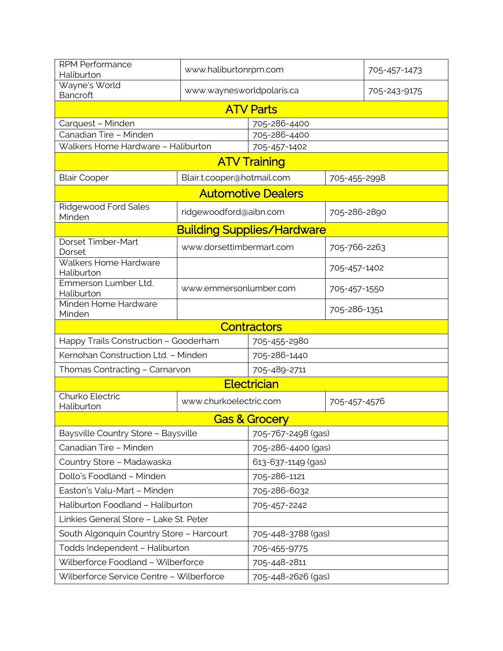| <b>RPM Performance</b><br>Haliburton     | www.haliburtonrpm.com      |                           | 705-457-1473 |              |  |  |
|------------------------------------------|----------------------------|---------------------------|--------------|--------------|--|--|
| Wayne's World<br>Bancroft                | www.waynesworldpolaris.ca  |                           |              | 705-243-9175 |  |  |
| <b>ATV Parts</b>                         |                            |                           |              |              |  |  |
| Carquest - Minden                        |                            | 705-286-4400              |              |              |  |  |
| Canadian Tire - Minden                   |                            | 705-286-4400              |              |              |  |  |
| Walkers Home Hardware - Haliburton       |                            | 705-457-1402              |              |              |  |  |
| <b>ATV Training</b>                      |                            |                           |              |              |  |  |
| <b>Blair Cooper</b>                      | Blair.t.cooper@hotmail.com |                           | 705-455-2998 |              |  |  |
|                                          |                            | <b>Automotive Dealers</b> |              |              |  |  |
| <b>Ridgewood Ford Sales</b><br>Minden    | ridgewoodford@aibn.com     |                           | 705-286-2890 |              |  |  |
| <b>Building Supplies/Hardware</b>        |                            |                           |              |              |  |  |
| Dorset Timber-Mart<br>Dorset             | www.dorsettimbermart.com   |                           | 705-766-2263 |              |  |  |
| Walkers Home Hardware<br>Haliburton      |                            |                           | 705-457-1402 |              |  |  |
| Emmerson Lumber Ltd.<br>Haliburton       | www.emmersonlumber.com     |                           | 705-457-1550 |              |  |  |
| Minden Home Hardware<br>Minden           |                            |                           | 705-286-1351 |              |  |  |
| <b>Contractors</b>                       |                            |                           |              |              |  |  |
| Happy Trails Construction - Gooderham    |                            | 705-455-2980              |              |              |  |  |
| Kernohan Construction Ltd. - Minden      |                            | 705-286-1440              |              |              |  |  |
| Thomas Contracting - Carnarvon           | 705-489-2711               |                           |              |              |  |  |
|                                          |                            | <b>Electrician</b>        |              |              |  |  |
| Churko Electric<br>Haliburton            | www.churkoelectric.com     |                           | 705-457-4576 |              |  |  |
|                                          |                            | <b>Gas &amp; Grocery</b>  |              |              |  |  |
| Baysville Country Store - Baysville      |                            | 705-767-2498 (gas)        |              |              |  |  |
| Canadian Tire - Minden                   |                            | 705-286-4400 (gas)        |              |              |  |  |
| Country Store - Madawaska                |                            | 613-637-1149 (gas)        |              |              |  |  |
| Dollo's Foodland - Minden                |                            | 705-286-1121              |              |              |  |  |
| Easton's Valu-Mart - Minden              |                            | 705-286-6032              |              |              |  |  |
| Haliburton Foodland - Haliburton         |                            | 705-457-2242              |              |              |  |  |
| Linkies General Store - Lake St. Peter   |                            |                           |              |              |  |  |
| South Algonquin Country Store - Harcourt |                            | 705-448-3788 (gas)        |              |              |  |  |
| Todds Independent - Haliburton           |                            | 705-455-9775              |              |              |  |  |
| Wilberforce Foodland - Wilberforce       |                            | 705-448-2811              |              |              |  |  |
| Wilberforce Service Centre - Wilberforce |                            | 705-448-2626 (gas)        |              |              |  |  |